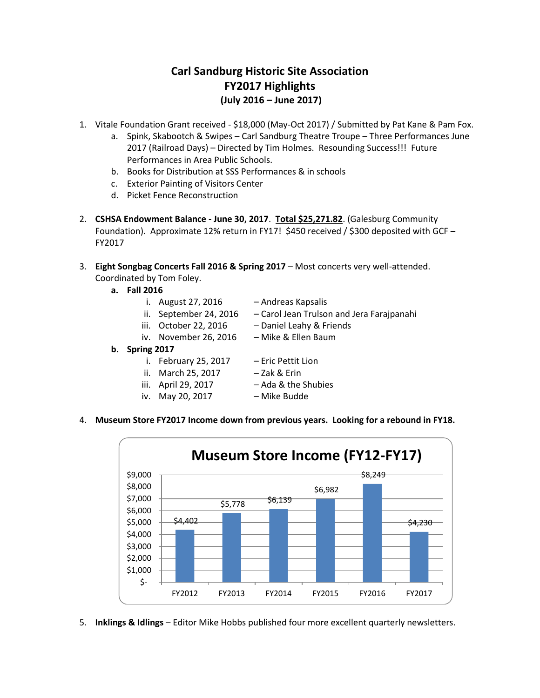# **Carl Sandburg Historic Site Association FY2017 Highlights (July 2016 – June 2017)**

- 1. Vitale Foundation Grant received \$18,000 (May-Oct 2017) / Submitted by Pat Kane & Pam Fox.
	- a. Spink, Skabootch & Swipes Carl Sandburg Theatre Troupe Three Performances June 2017 (Railroad Days) – Directed by Tim Holmes. Resounding Success!!! Future Performances in Area Public Schools.
	- b. Books for Distribution at SSS Performances & in schools
	- c. Exterior Painting of Visitors Center
	- d. Picket Fence Reconstruction
- 2. **CSHSA Endowment Balance - June 30, 2017**. **Total \$25,271.82**. (Galesburg Community Foundation). Approximate 12% return in FY17! \$450 received / \$300 deposited with GCF – FY2017
- 3. **Eight Songbag Concerts Fall 2016 & Spring 2017** Most concerts very well-attended. Coordinated by Tom Foley.
	- **a. Fall 2016**
		- i. August 27, 2016 Andreas Kapsalis
		- ii. September 24, 2016 Carol Jean Trulson and Jera Farajpanahi
		- iii. October 22, 2016 Daniel Leahy & Friends
			-
		- iv. November 26, 2016 Mike & Ellen Baum
	- **b. Spring 2017**
		- i. February 25, 2017 Eric Pettit Lion
		- ii. March 25, 2017 Zak & Erin
		- iii. April 29, 2017 Ada & the Shubies
		- iv. May 20, 2017 Mike Budde
- 
- -
- 4. **Museum Store FY2017 Income down from previous years. Looking for a rebound in FY18.**



5. **Inklings & Idlings** – Editor Mike Hobbs published four more excellent quarterly newsletters.